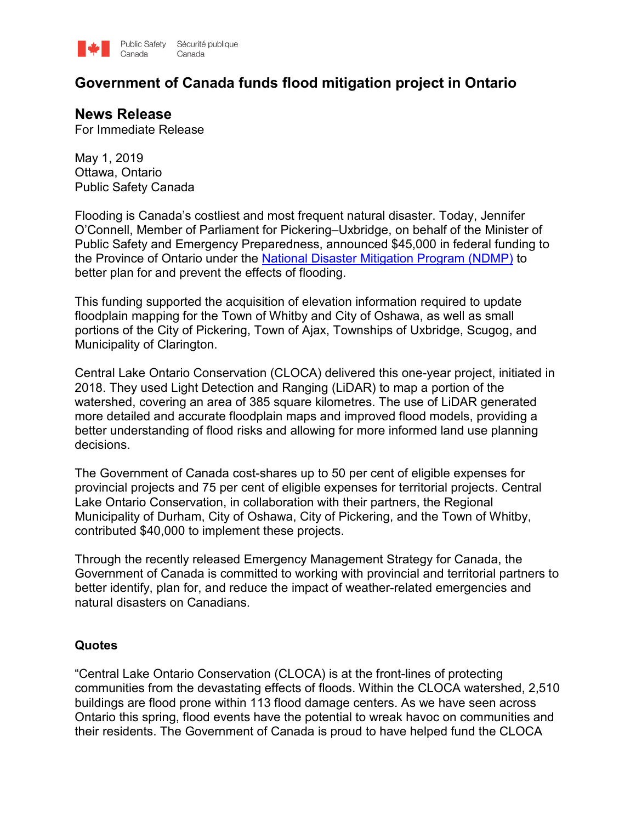

# **Government of Canada funds flood mitigation project in Ontario**

## **News Release**

For Immediate Release

May 1, 2019 Ottawa, Ontario Public Safety Canada

Flooding is Canada's costliest and most frequent natural disaster. Today, Jennifer O'Connell, Member of Parliament for Pickering–Uxbridge, on behalf of the Minister of Public Safety and Emergency Preparedness, announced \$45,000 in federal funding to the Province of Ontario under the [National Disaster Mitigation Program \(NDMP\)](https://www.publicsafety.gc.ca/cnt/mrgnc-mngmnt/dsstr-prvntn-mtgtn/ndmp/index-en.aspx) to better plan for and prevent the effects of flooding.

This funding supported the acquisition of elevation information required to update floodplain mapping for the Town of Whitby and City of Oshawa, as well as small portions of the City of Pickering, Town of Ajax, Townships of Uxbridge, Scugog, and Municipality of Clarington.

Central Lake Ontario Conservation (CLOCA) delivered this one-year project, initiated in 2018. They used Light Detection and Ranging (LiDAR) to map a portion of the watershed, covering an area of 385 square kilometres. The use of LiDAR generated more detailed and accurate floodplain maps and improved flood models, providing a better understanding of flood risks and allowing for more informed land use planning decisions.

The Government of Canada cost-shares up to 50 per cent of eligible expenses for provincial projects and 75 per cent of eligible expenses for territorial projects. Central Lake Ontario Conservation, in collaboration with their partners, the Regional Municipality of Durham, City of Oshawa, City of Pickering, and the Town of Whitby, contributed \$40,000 to implement these projects.

Through the recently released Emergency Management Strategy for Canada, the Government of Canada is committed to working with provincial and territorial partners to better identify, plan for, and reduce the impact of weather-related emergencies and natural disasters on Canadians.

#### **Quotes**

"Central Lake Ontario Conservation (CLOCA) is at the front-lines of protecting communities from the devastating effects of floods. Within the CLOCA watershed, 2,510 buildings are flood prone within 113 flood damage centers. As we have seen across Ontario this spring, flood events have the potential to wreak havoc on communities and their residents. The Government of Canada is proud to have helped fund the CLOCA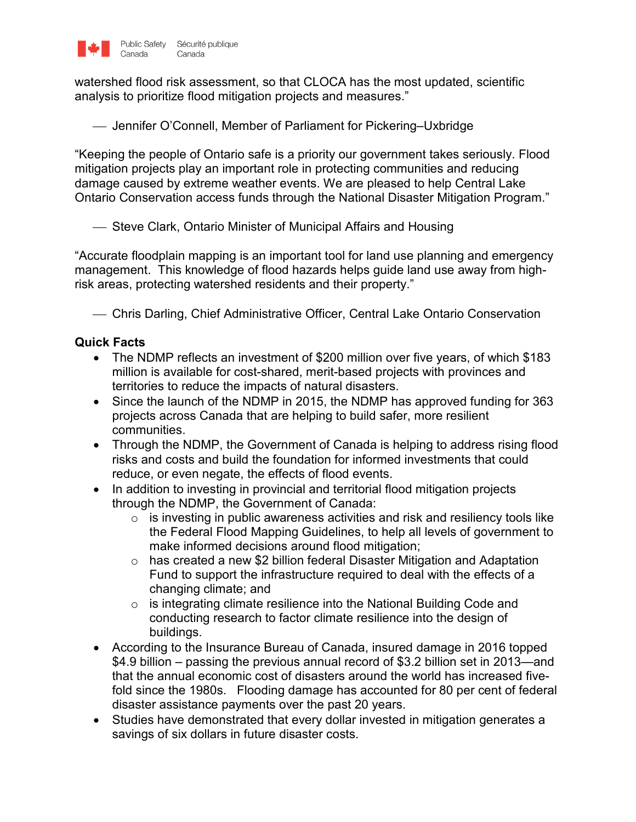

watershed flood risk assessment, so that CLOCA has the most updated, scientific analysis to prioritize flood mitigation projects and measures."

Jennifer O'Connell, Member of Parliament for Pickering–Uxbridge

"Keeping the people of Ontario safe is a priority our government takes seriously. Flood mitigation projects play an important role in protecting communities and reducing damage caused by extreme weather events. We are pleased to help Central Lake Ontario Conservation access funds through the National Disaster Mitigation Program."

Steve Clark, Ontario Minister of Municipal Affairs and Housing

"Accurate floodplain mapping is an important tool for land use planning and emergency management. This knowledge of flood hazards helps guide land use away from highrisk areas, protecting watershed residents and their property."

Chris Darling, Chief Administrative Officer, Central Lake Ontario Conservation

### **Quick Facts**

- The NDMP reflects an investment of \$200 million over five years, of which \$183 million is available for cost-shared, merit-based projects with provinces and territories to reduce the impacts of natural disasters.
- Since the launch of the NDMP in 2015, the NDMP has approved funding for 363 projects across Canada that are helping to build safer, more resilient communities.
- Through the NDMP, the Government of Canada is helping to address rising flood risks and costs and build the foundation for informed investments that could reduce, or even negate, the effects of flood events.
- In addition to investing in provincial and territorial flood mitigation projects through the NDMP, the Government of Canada:
	- $\circ$  is investing in public awareness activities and risk and resiliency tools like the Federal Flood Mapping Guidelines, to help all levels of government to make informed decisions around flood mitigation;
	- $\circ$  has created a new \$2 billion federal Disaster Mitigation and Adaptation Fund to support the infrastructure required to deal with the effects of a changing climate; and
	- o is integrating climate resilience into the National Building Code and conducting research to factor climate resilience into the design of buildings.
- According to the Insurance Bureau of Canada, insured damage in 2016 topped \$4.9 billion – passing the previous annual record of \$3.2 billion set in 2013—and that the annual economic cost of disasters around the world has increased fivefold since the 1980s. Flooding damage has accounted for 80 per cent of federal disaster assistance payments over the past 20 years.
- Studies have demonstrated that every dollar invested in mitigation generates a savings of six dollars in future disaster costs.